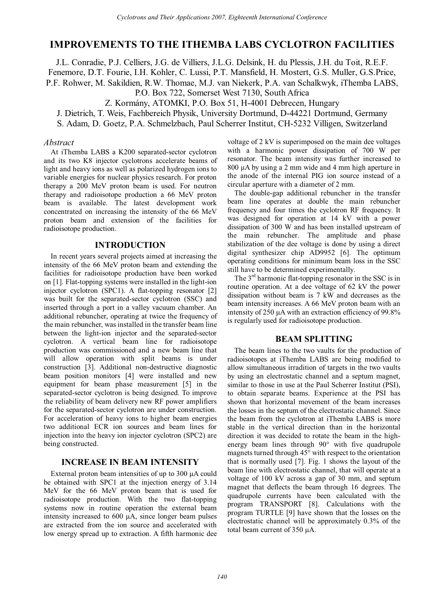# **IMPROVEMENTS TO THE ITHEMBA LABS CYCLOTRON FACILITIES**

J.L. Conradie, P.J. Celliers, J.G. de Villiers, J.L.G. Delsink, H. du Plessis, J.H. du Toit, R.E.F. Fenemore, D.T. Fourie, I.H. Kohler, C. Lussi, P.T. Mansfield, H. Mostert, G.S. Muller, G.S.Price, P.F. Rohwer, M. Sakildien, R.W. Thomae, M.J. van Niekerk, P.A. van Schalkwyk, iThemba LABS, P.O. Box 722, Somerset West 7130, South Africa

Z. Kormány, ATOMKI, P.O. Box 51, H-4001 Debrecen, Hungary

J. Dietrich, T. Weis, Fachbereich Physik, University Dortmund, D-44221 Dortmund, Germany

S. Adam, D. Goetz, P.A. Schmelzbach, Paul Scherrer Institut, CH-5232 Villigen, Switzerland

### *Abstract*

At iThemba LABS a K200 separated-sector cyclotron and its two K8 injector cyclotrons accelerate beams of light and heavy ions as well as polarized hydrogen ions to variable energies for nuclear physics research. For proton therapy a 200 MeV proton beam is used. For neutron therapy and radioisotope production a 66 MeV proton beam is available. The latest development work concentrated on increasing the intensity of the 66 MeV proton beam and extension of the facilities for radioisotope production.

## **INTRODUCTION**

In recent years several projects aimed at increasing the intensity of the 66 MeV proton beam and extending the facilities for radioisotope production have been worked on [1]. Flat-topping systems were installed in the light-ion injector cyclotron (SPC1). A flat-topping resonator [2] was built for the separated-sector cyclotron (SSC) and inserted through a port in a valley vacuum chamber. An additional rebuncher, operating at twice the frequency of the main rebuncher, was installed in the transfer beam line between the light-ion injector and the separated-sector cyclotron. A vertical beam line for radioisotope production was commissioned and a new beam line that will allow operation with split beams is under construction [3]. Additional non-destructive diagnostic beam position monitors [4] were installed and new equipment for beam phase measurement [5] in the separated-sector cyclotron is being designed. To improve the reliability of beam delivery new RF power amplifiers for the separated-sector cyclotron are under construction. For acceleration of heavy ions to higher beam energies two additional ECR ion sources and beam lines for injection into the heavy ion injector cyclotron (SPC2) are being constructed.

# **INCREASE IN BEAM INTENSITY**

External proton beam intensities of up to 300 μA could be obtained with SPC1 at the injection energy of 3.14 MeV for the 66 MeV proton beam that is used for radioisotope production. With the two flat-topping systems now in routine operation the external beam intensity increased to 600 μA, since longer beam pulses are extracted from the ion source and accelerated with low energy spread up to extraction. A fifth harmonic dee

voltage of 2 kV is superimposed on the main dee voltages with a harmonic power dissipation of 700 W per resonator. The beam intensity was further increased to 800 μA by using a 2 mm wide and 4 mm high aperture in the anode of the internal PIG ion source instead of a circular aperture with a diameter of 2 mm.

The double-gap additional rebuncher in the transfer beam line operates at double the main rebuncher frequency and four times the cyclotron RF frequency. It was designed for operation at 14 kV with a power dissipation of 300 W and has been installed upstream of the main rebuncher. The amplitude and phase stabilization of the dee voltage is done by using a direct digital synthesizer chip AD9952 [6]. The optimum operating conditions for minimum beam loss in the SSC still have to be determined experimentally.

The  $3<sup>rd</sup>$  harmonic flat-topping resonator in the SSC is in routine operation. At a dee voltage of 62 kV the power dissipation without beam is 7 kW and decreases as the beam intensity increases. A 66 MeV proton beam with an intensity of 250 μA with an extraction efficiency of 99.8% is regularly used for radioisotope production.

# **BEAM SPLITTING**

The beam lines to the two vaults for the production of radioisotopes at iThemba LABS are being modified to allow simultaneous irradition of targets in the two vaults by using an electrostatic channel and a septum magnet, similar to those in use at the Paul Scherrer Institut (PSI), to obtain separate beams. Experience at the PSI has shown that horizontal movement of the beam increases the losses in the septum of the electrostatic channel. Since the beam from the cyclotron at iThemba LABS is more stable in the vertical direction than in the horizontal direction it was decided to rotate the beam in the highenergy beam lines through 90° with five quadrupole magnets turned through 45° with respect to the orientation that is normally used [7]. Fig. 1 shows the layout of the beam line with electrostatic channel, that will operate at a voltage of 100 kV across a gap of 30 mm, and septum magnet that deflects the beam through 16 degrees. The quadrupole currents have been calculated with the program TRANSPORT [8]. Calculations with the program TURTLE [9] have shown that the losses on the electrostatic channel will be approximately 0.3% of the total beam current of 350 μA.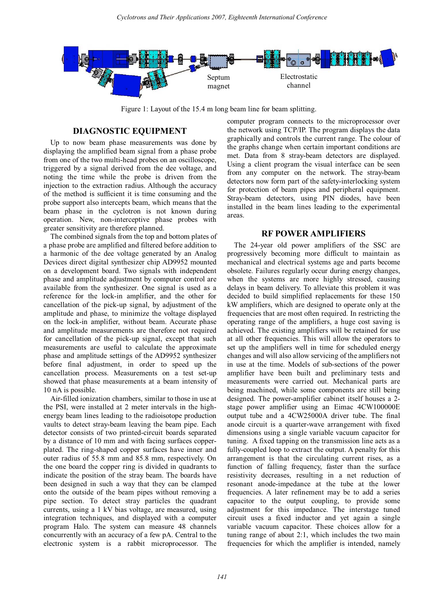

Figure 1: Layout of the 15.4 m long beam line for beam splitting.

# **DIAGNOSTIC EQUIPMENT**

Up to now beam phase measurements was done by displaying the amplified beam signal from a phase probe from one of the two multi-head probes on an oscilloscope, triggered by a signal derived from the dee voltage, and noting the time while the probe is driven from the injection to the extraction radius. Although the accuracy of the method is sufficient it is time consuming and the probe support also intercepts beam, which means that the beam phase in the cyclotron is not known during operation. New, non-interceptive phase probes with greater sensitivity are therefore planned.

The combined signals from the top and bottom plates of a phase probe are amplified and filtered before addition to a harmonic of the dee voltage generated by an Analog Devices direct digital synthesizer chip AD9952 mounted on a development board. Two signals with independent phase and amplitude adjustment by computer control are available from the synthesizer. One signal is used as a reference for the lock-in amplifier, and the other for cancellation of the pick-up signal, by adjustment of the amplitude and phase, to minimize the voltage displayed on the lock-in amplifier, without beam. Accurate phase and amplitude measurements are therefore not required for cancellation of the pick-up signal, except that such measurements are useful to calculate the approximate phase and amplitude settings of the AD9952 synthesizer before final adjustment, in order to speed up the cancellation process. Measurements on a test set-up showed that phase measurements at a beam intensity of 10 nA is possible.

Air-filled ionization chambers, similar to those in use at the PSI, were installed at 2 meter intervals in the highenergy beam lines leading to the radioisotope production vaults to detect stray-beam leaving the beam pipe. Each detector consists of two printed-circuit boards separated by a distance of 10 mm and with facing surfaces copperplated. The ring-shaped copper surfaces have inner and outer radius of 55.8 mm and 85.8 mm, respectively. On the one board the copper ring is divided in quadrants to indicate the position of the stray beam. The boards have been designed in such a way that they can be clamped onto the outside of the beam pipes without removing a pipe section. To detect stray particles the quadrant currents, using a 1 kV bias voltage, are measured, using integration techniques, and displayed with a computer program Halo. The system can measure 48 channels concurrently with an accuracy of a few pA. Central to the electronic system is a rabbit microprocessor. The computer program connects to the microprocessor over the network using TCP/IP. The program displays the data graphically and controls the current range. The colour of the graphs change when certain important conditions are met. Data from 8 stray-beam detectors are displayed. Using a client program the visual interface can be seen from any computer on the network. The stray-beam detectors now form part of the safety-interlocking system for protection of beam pipes and peripheral equipment. Stray-beam detectors, using PIN diodes, have been installed in the beam lines leading to the experimental areas.

## **RF POWER AMPLIFIERS**

The 24-year old power amplifiers of the SSC are progressively becoming more difficult to maintain as mechanical and electrical systems age and parts become obsolete. Failures regularly occur during energy changes, when the systems are more highly stressed, causing delays in beam delivery. To alleviate this problem it was decided to build simplified replacements for these 150 kW amplifiers, which are designed to operate only at the frequencies that are most often required. In restricting the operating range of the amplifiers, a huge cost saving is achieved. The existing amplifiers will be retained for use at all other frequencies. This will allow the operators to set up the amplifiers well in time for scheduled energy changes and will also allow servicing of the amplifiers not in use at the time. Models of sub-sections of the power amplifier have been built and preliminary tests and measurements were carried out. Mechanical parts are being machined, while some components are still being designed. The power-amplifier cabinet itself houses a 2 stage power amplifier using an Eimac 4CW100000E output tube and a 4CW25000A driver tube. The final anode circuit is a quarter-wave arrangement with fixed dimensions using a single variable vacuum capacitor for tuning. A fixed tapping on the transmission line acts as a fully-coupled loop to extract the output. A penalty for this arrangement is that the circulating current rises, as a function of falling frequency, faster than the surface resistivity decreases, resulting in a net reduction of resonant anode-impedance at the tube at the lower frequencies. A later refinement may be to add a series capacitor to the output coupling, to provide some adjustment for this impedance. The interstage tuned circuit uses a fixed inductor and yet again a single variable vacuum capacitor. These choices allow for a tuning range of about 2:1, which includes the two main frequencies for which the amplifier is intended, namely